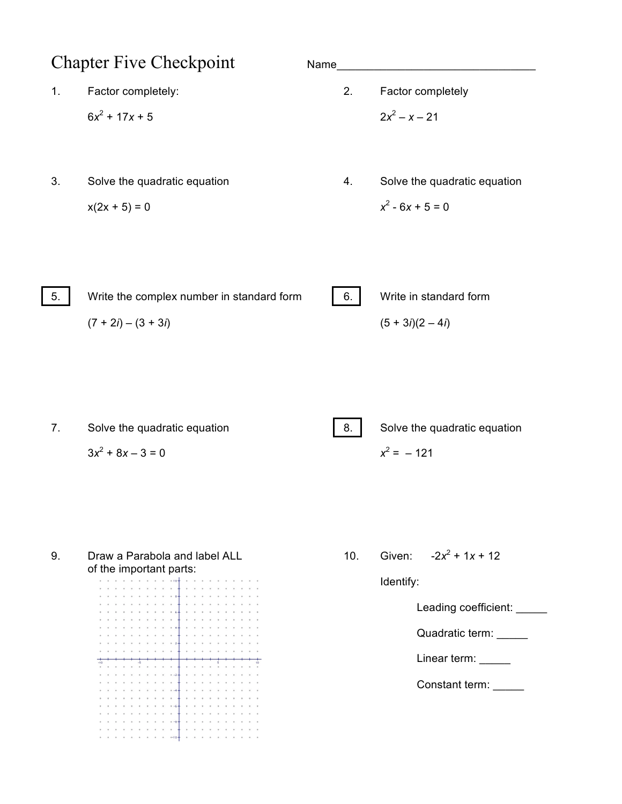## Chapter Five Checkpoint Name\_\_\_\_\_\_\_\_\_\_\_\_\_\_\_\_\_\_\_\_\_\_\_\_\_\_\_\_\_\_\_\_ 1. Factor completely: 2. Factor completely  $6x^2 + 17x + 5$  2*x*<sup>2</sup> – *x* – 21

- $x(2x + 5) = 0$   $x^2 6x + 5 = 0$
- 
- 3. Solve the quadratic equation 4. Solve the quadratic equation

| 5. | Write the complex number in standard form | $\vert 6. \vert$ | Write in standard form |
|----|-------------------------------------------|------------------|------------------------|
|    | $(7 + 2i) - (3 + 3i)$                     |                  | $(5 + 3i)(2 – 4i)$     |

7. Solve the quadratic equation **8.** Solve the quadratic equation  $3x^2 + 8x - 3 = 0$   $x^2 = -121$ 

9. Draw a Parabola and label ALL 10. Given:  $-2x^2 + 1x + 12$ of the important parts:

. . . . . . . .<br>. . *.* . . . . .  $\alpha\in\mathbb{R}$  $\alpha = -\alpha$  $\begin{array}{ccc} \bullet & \bullet & \bullet \end{array}$  $\begin{array}{cc} \mathbf{a} & \mathbf{a} & \mathbf{a} \\ \mathbf{a} & \mathbf{a} & \mathbf{a} \end{array}$ 

Identify:

Leading coefficient: \_\_\_\_\_

Quadratic term: \_\_\_\_\_

Linear term:

Constant term: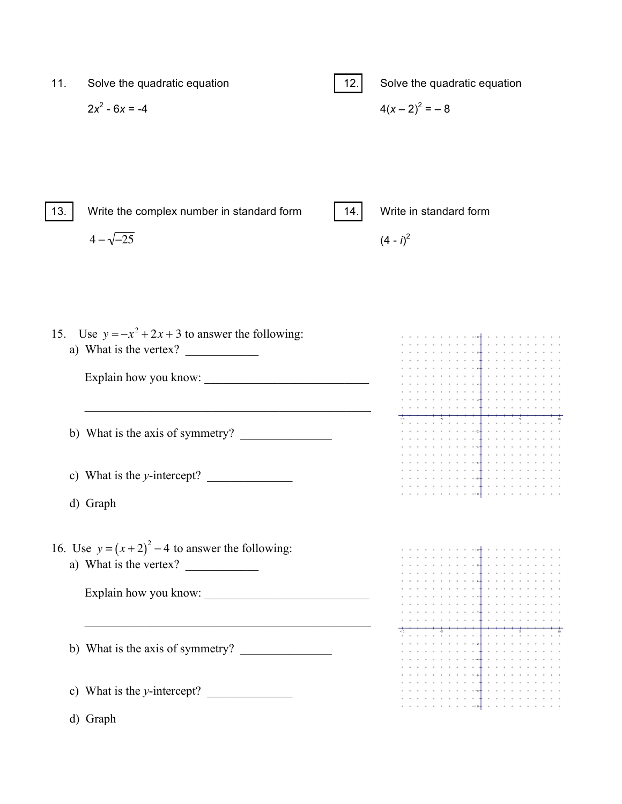| 11. | Solve the quadratic equation | $-12.$ | Solve the quadratic equation |
|-----|------------------------------|--------|------------------------------|
|     | $2x^2 - 6x = -4$             |        | $4(x-2)^2 = -8$              |
|     |                              |        |                              |
|     |                              |        |                              |

13. Write the complex number in standard form 14. Write in standard form

 $4 - \sqrt{-25}$ 

 $(4 - i)^2$ 

15. Use  $y = -x^2 + 2x + 3$  to answer the following: a) What is the vertex? Explain how you know: \_\_\_\_\_\_\_\_\_\_\_\_\_\_\_\_\_\_\_\_\_\_\_\_\_\_\_  $\mathcal{L}_\text{max}$  , and the set of the set of the set of the set of the set of the set of the set of the set of the set of the set of the set of the set of the set of the set of the set of the set of the set of the set of the b) What is the axis of symmetry?  $\begin{array}{cccccccccccccc} \bullet & \bullet & \bullet & \bullet & \bullet & \bullet & \bullet \end{array}$  $\alpha = \alpha - \alpha$  $\begin{array}{cccccccccccccc} a & & a & & a & & a & & a \end{array}$  $\overline{a} = \overline{a} \overline{a} = \overline{a}$ c) What is the *y*-intercept?  $\alpha = \alpha - \alpha = \alpha$  . d) Graph 16. Use  $y = (x+2)^2 - 4$  to answer the following: a) What is the vertex? Explain how you know: \_\_\_\_\_\_\_\_\_\_\_\_\_\_\_\_\_\_\_\_\_\_\_\_\_\_\_  $\mathcal{L}_\text{max}$  , and the set of the set of the set of the set of the set of the set of the set of the set of the set of the set of the set of the set of the set of the set of the set of the set of the set of the set of the b) What is the axis of symmetry?  $\overline{a} = \overline{a} \overline{a} = \overline{a}$ c) What is the *y*-intercept?  $\qquad \qquad$ d) Graph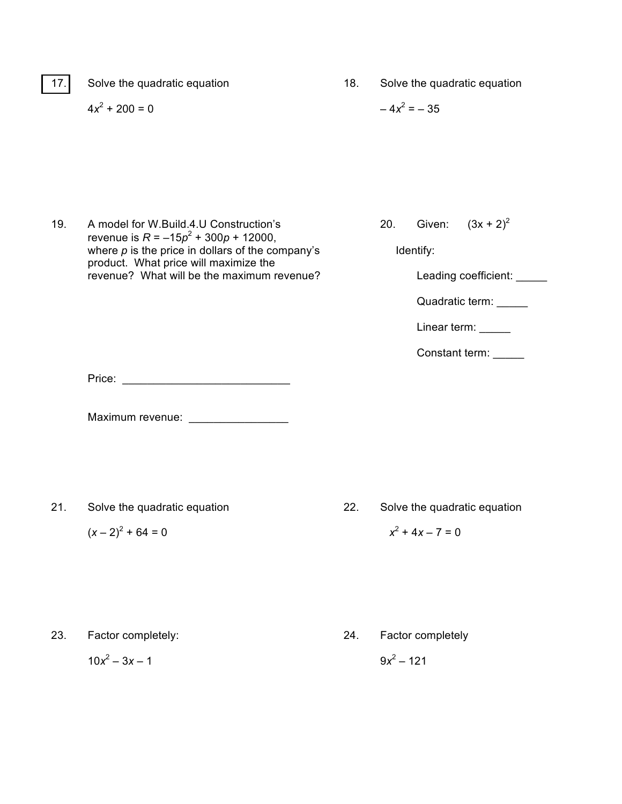17. Solve the quadratic equation 18. Solve the quadratic equation  $4x^2 + 200 = 0$  –  $4x^2 = -35$ 

- 19. A model for W.Build.4.U Construction's 20. revenue is  $R = -15p^2 + 300p + 12000$ , where *p* is the price in dollars of the company's Identify: product. What price will maximize the revenue? What will be the maximum revenue? Leading coefficient: \_\_\_\_\_
- Given:  $(3x + 2)^2$

Quadratic term: \_\_\_\_\_

Linear term: \_\_\_\_\_

Constant term:

Price: \_\_\_\_\_\_\_\_\_\_\_\_\_\_\_\_\_\_\_\_\_\_\_\_\_\_\_

Maximum revenue: \_\_\_\_\_\_\_\_\_\_\_\_\_\_\_\_

- 
- 21. Solve the quadratic equation 22. Solve the quadratic equation

 $(x - 2)^2 + 64 = 0$   $x^2 + 4x - 7 = 0$ 

- 23. Factor completely: 24. Factor completely
	- $10x^2 3x 1$  9*x*<sup>2</sup> 121
-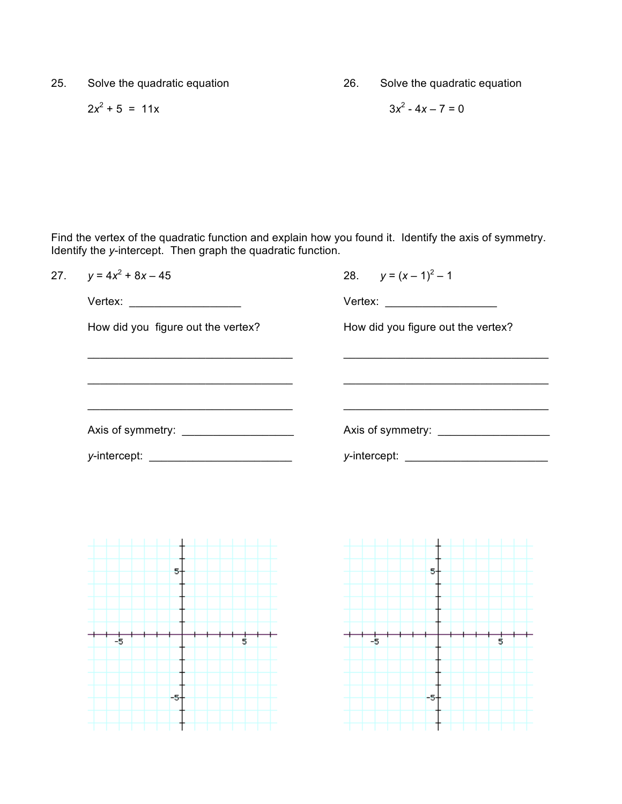25. Solve the quadratic equation 26. Solve the quadratic equation

$$
2x^2 + 5 = 11x
$$
 3x<sup>2</sup> - 4x - 7 = 0

$$
3x^2 - 4x - 7 = 0
$$

Find the vertex of the quadratic function and explain how you found it. Identify the axis of symmetry. Identify the *y*-intercept. Then graph the quadratic function.

| 27. | $y = 4x^2 + 8x - 45$               | 28. $y = (x - 1)^2 - 1$            |
|-----|------------------------------------|------------------------------------|
|     | Vertex: ___________________        | Vertex: _____________________      |
|     | How did you figure out the vertex? | How did you figure out the vertex? |
|     |                                    |                                    |
|     |                                    |                                    |
|     |                                    |                                    |
|     |                                    |                                    |
|     |                                    |                                    |
|     |                                    |                                    |